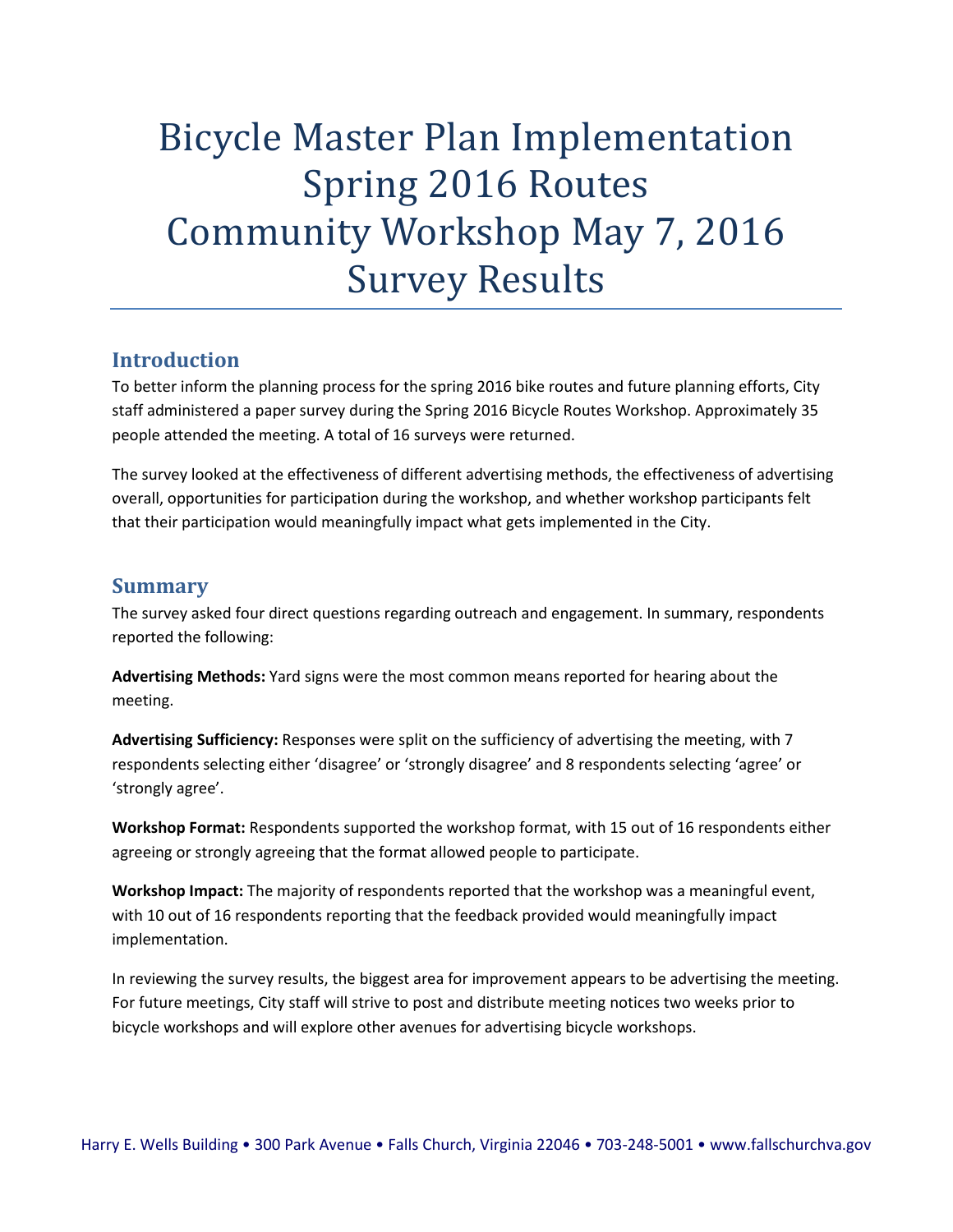# Bicycle Master Plan Implementation Spring 2016 Routes Community Workshop May 7, 2016 Survey Results

#### **Introduction**

To better inform the planning process for the spring 2016 bike routes and future planning efforts, City staff administered a paper survey during the Spring 2016 Bicycle Routes Workshop. Approximately 35 people attended the meeting. A total of 16 surveys were returned.

The survey looked at the effectiveness of different advertising methods, the effectiveness of advertising overall, opportunities for participation during the workshop, and whether workshop participants felt that their participation would meaningfully impact what gets implemented in the City.

#### **Summary**

The survey asked four direct questions regarding outreach and engagement. In summary, respondents reported the following:

**Advertising Methods:** Yard signs were the most common means reported for hearing about the meeting.

**Advertising Sufficiency:** Responses were split on the sufficiency of advertising the meeting, with 7 respondents selecting either 'disagree' or 'strongly disagree' and 8 respondents selecting 'agree' or 'strongly agree'.

**Workshop Format:** Respondents supported the workshop format, with 15 out of 16 respondents either agreeing or strongly agreeing that the format allowed people to participate.

**Workshop Impact:** The majority of respondents reported that the workshop was a meaningful event, with 10 out of 16 respondents reporting that the feedback provided would meaningfully impact implementation.

In reviewing the survey results, the biggest area for improvement appears to be advertising the meeting. For future meetings, City staff will strive to post and distribute meeting notices two weeks prior to bicycle workshops and will explore other avenues for advertising bicycle workshops.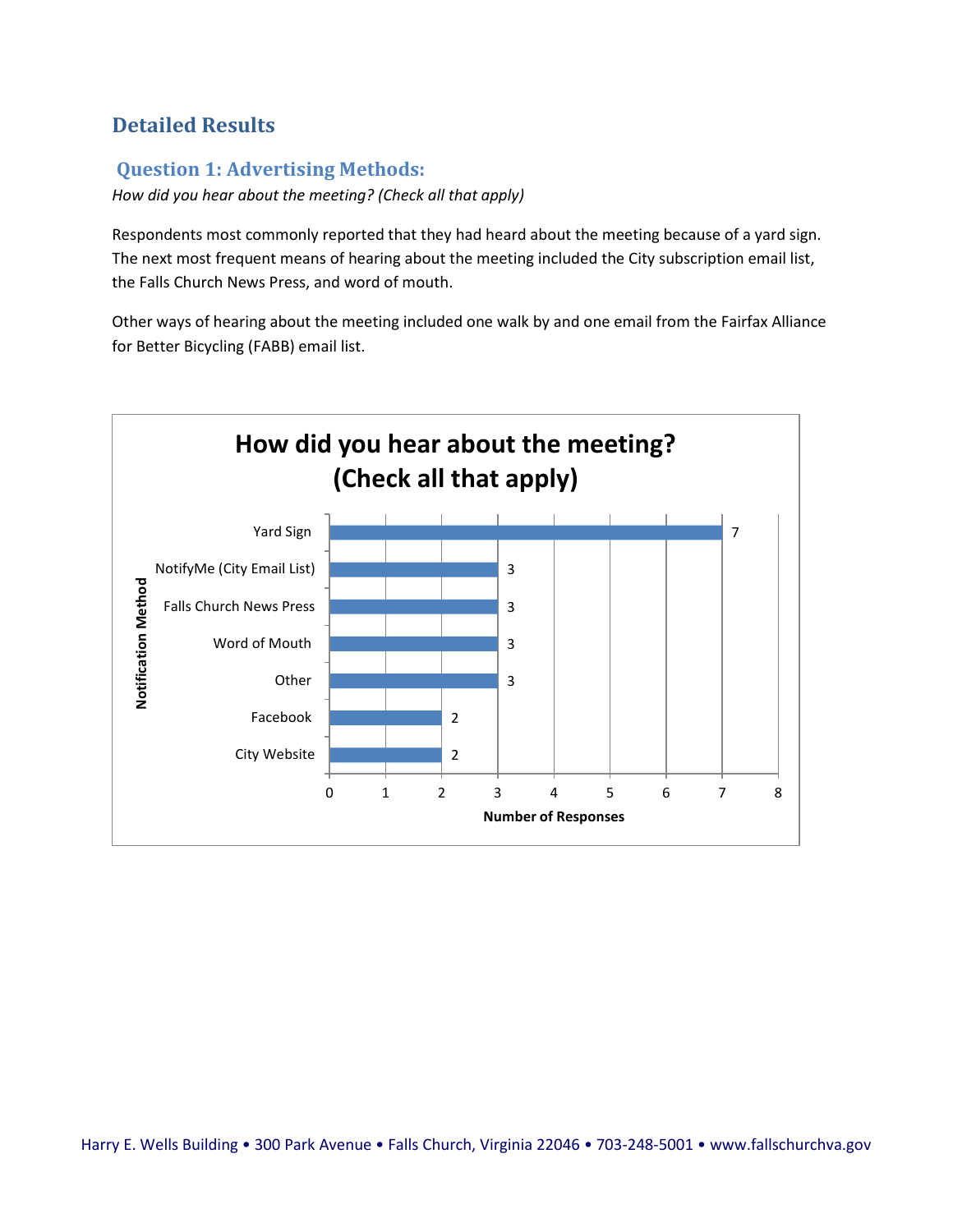## **Detailed Results**

## **Question 1: Advertising Methods:**

*How did you hear about the meeting? (Check all that apply)* 

Respondents most commonly reported that they had heard about the meeting because of a yard sign. The next most frequent means of hearing about the meeting included the City subscription email list, the Falls Church News Press, and word of mouth.

Other ways of hearing about the meeting included one walk by and one email from the Fairfax Alliance for Better Bicycling (FABB) email list.

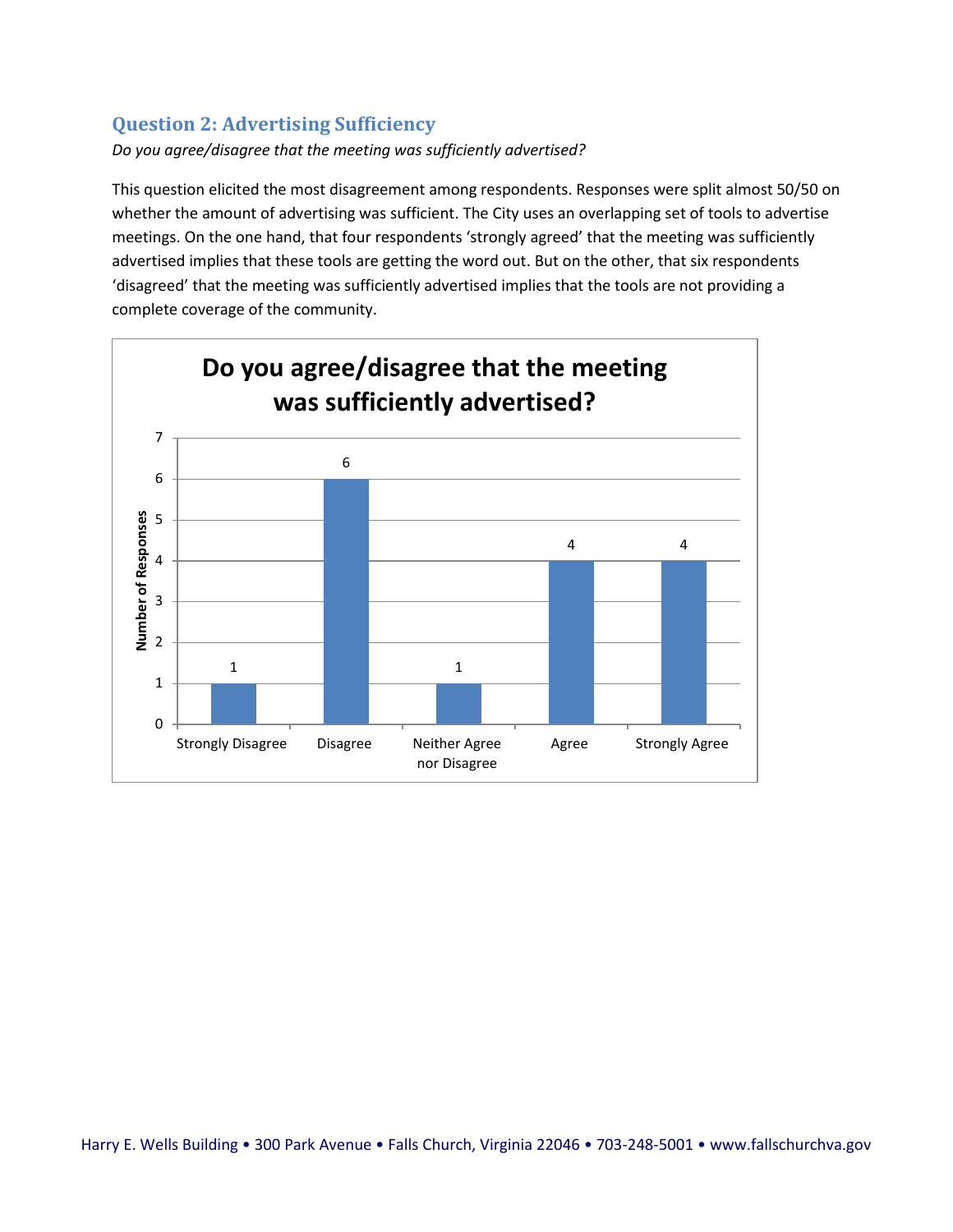### **Question 2: Advertising Sufficiency**

*Do you agree/disagree that the meeting was sufficiently advertised?* 

This question elicited the most disagreement among respondents. Responses were split almost 50/50 on whether the amount of advertising was sufficient. The City uses an overlapping set of tools to advertise meetings. On the one hand, that four respondents 'strongly agreed' that the meeting was sufficiently advertised implies that these tools are getting the word out. But on the other, that six respondents 'disagreed' that the meeting was sufficiently advertised implies that the tools are not providing a complete coverage of the community.

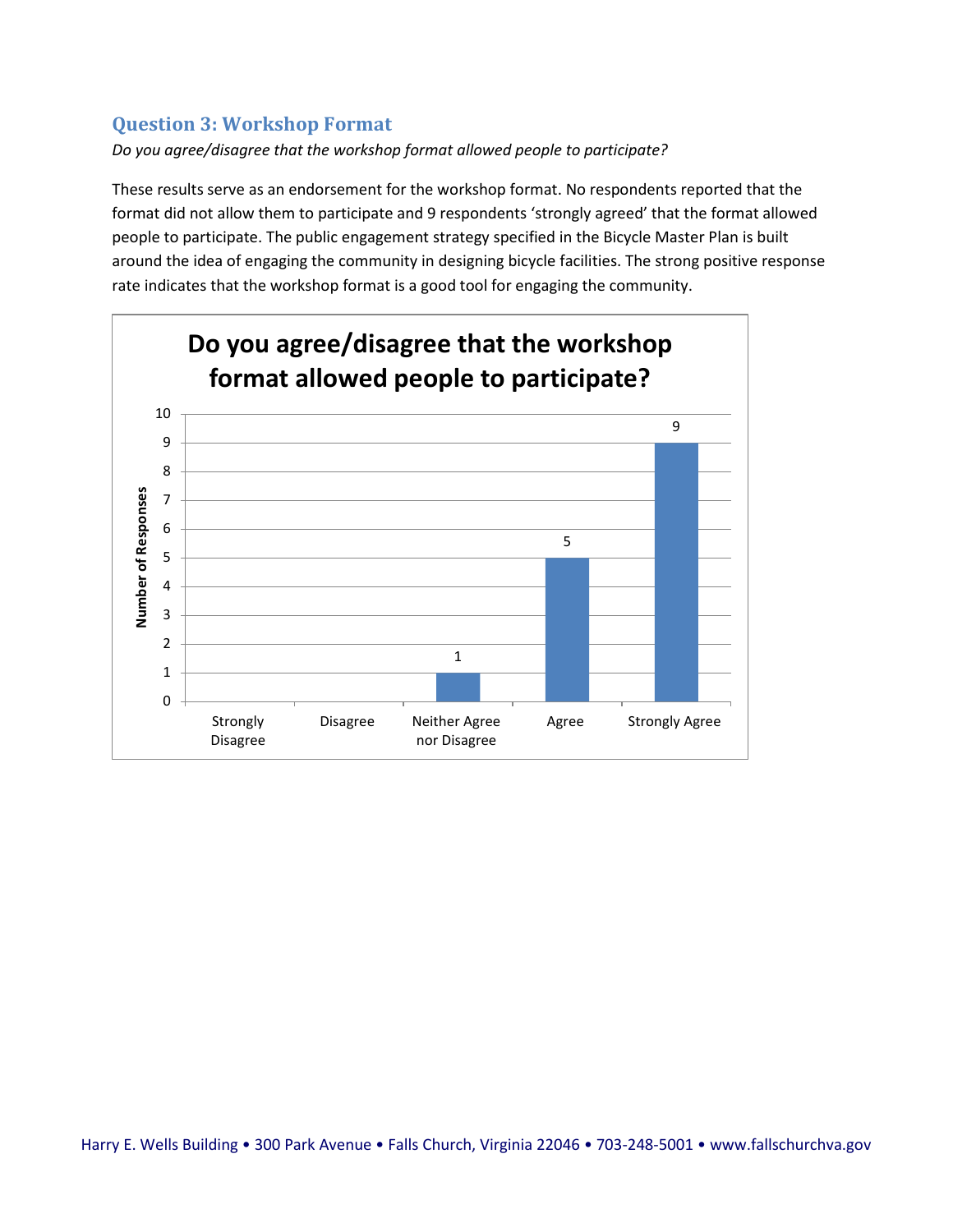#### **Question 3: Workshop Format**

*Do you agree/disagree that the workshop format allowed people to participate?*

These results serve as an endorsement for the workshop format. No respondents reported that the format did not allow them to participate and 9 respondents 'strongly agreed' that the format allowed people to participate. The public engagement strategy specified in the Bicycle Master Plan is built around the idea of engaging the community in designing bicycle facilities. The strong positive response rate indicates that the workshop format is a good tool for engaging the community.

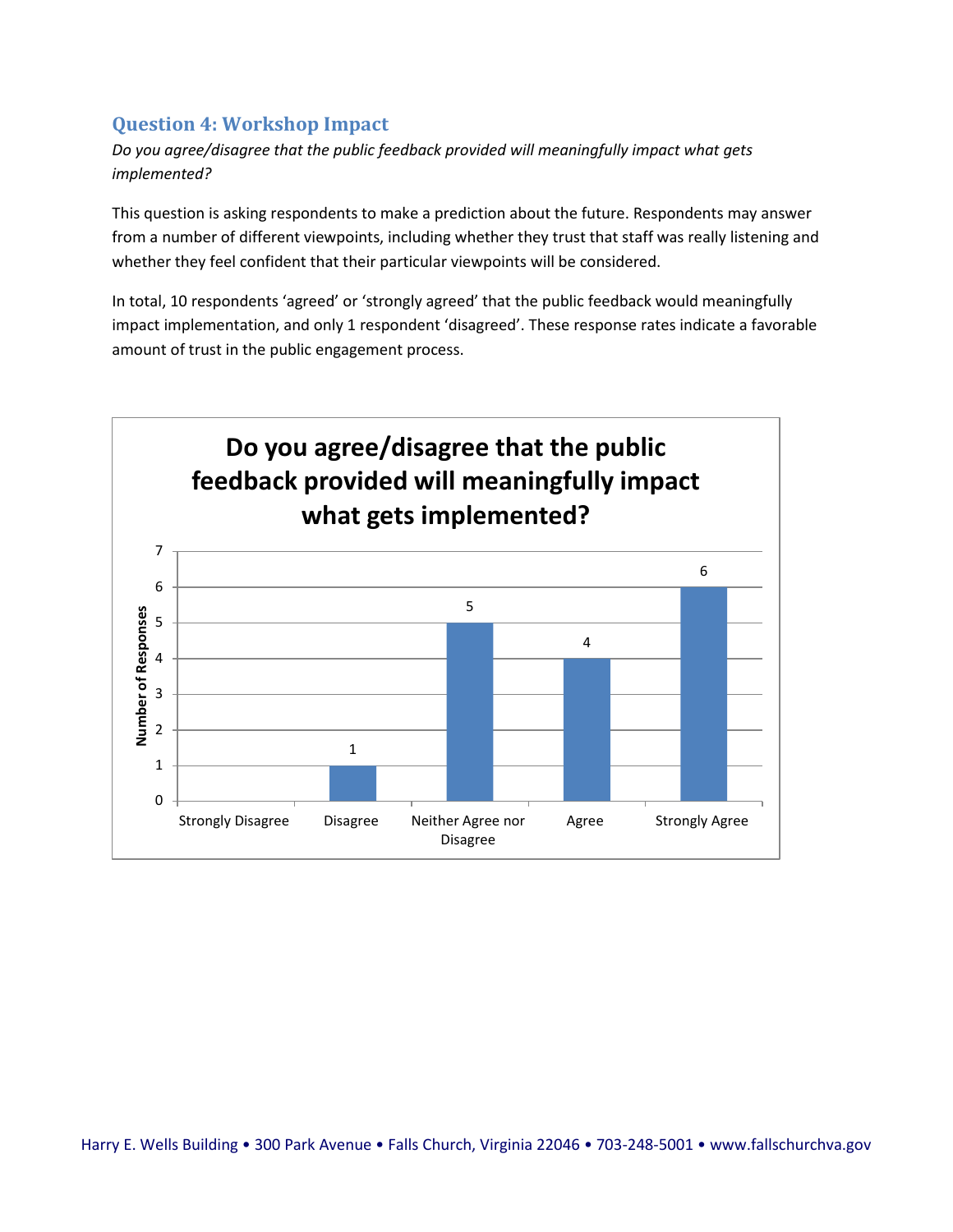#### **Question 4: Workshop Impact**

*Do you agree/disagree that the public feedback provided will meaningfully impact what gets implemented?* 

This question is asking respondents to make a prediction about the future. Respondents may answer from a number of different viewpoints, including whether they trust that staff was really listening and whether they feel confident that their particular viewpoints will be considered.

In total, 10 respondents 'agreed' or 'strongly agreed' that the public feedback would meaningfully impact implementation, and only 1 respondent 'disagreed'. These response rates indicate a favorable amount of trust in the public engagement process.